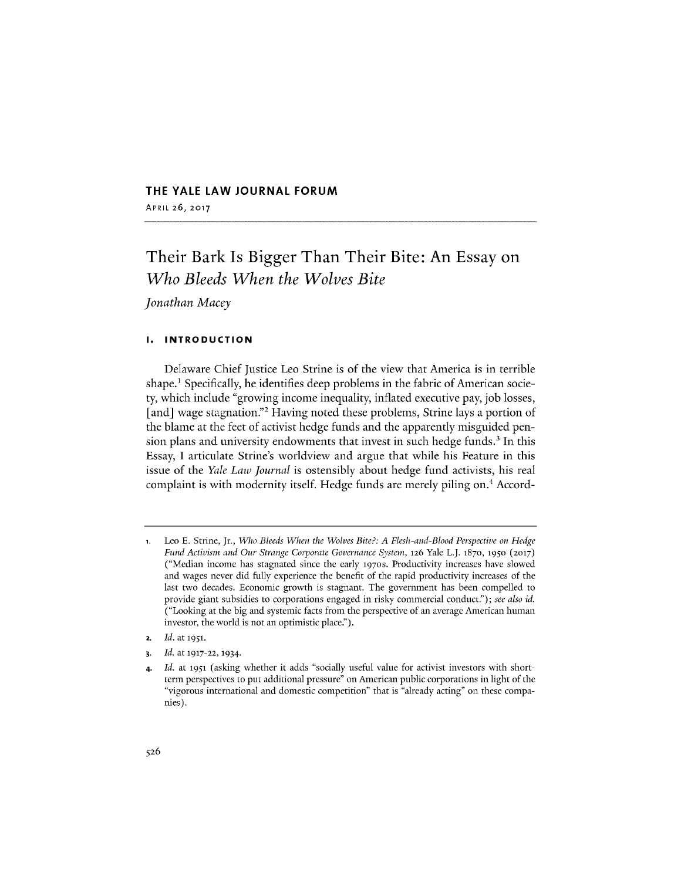## **THE YALE LAW JOURNAL FORUM**

APRIL **26, 2017**

# Their Bark Is Bigger Than Their Bite: An Essay on *Who Bleeds When the Wolves Bite*

*Jonathan Macey*

## **1. INTRODUCTION**

Delaware Chief Justice Leo Strine is of the view that America is in terrible shape.' Specifically, he identifies deep problems in the fabric of American society, which include "growing income inequality, inflated executive pay, **job** losses, [and] wage stagnation."<sup>2</sup> Having noted these problems, Strine lays a portion of the blame at the feet of activist hedge funds and the apparently misguided pension plans and university endowments that invest in such hedge funds.' In this Essay, **I** articulate Strine's worldview and argue that while his Feature in this issue of the *Yale Law journal* is ostensibly about hedge fund activists, his real complaint is with modernity itself. Hedge funds are merely piling on.4 Accord-

- **2.** *Id.* at **1951.**
- **3.** *Id.* at **1917-22, 1934.**

**<sup>1.</sup>** Leo **E.** Strine, Jr., *Who Bleeds When the Wolves Bite?: A Flesh-and-Blood Perspective on Hedge Fund Activism and Our Strange Corporate Governance System,* **126** Yale L.J. **1870, 1950 (2017)** ("Median income has stagnated since the early **1970s.** Productivity increases have slowed and wages never did fully experience the benefit of the rapid productivity increases of the last two decades. Economic growth is stagnant. The government has been compelled to provide giant subsidies to corporations engaged in risky commercial conduct."); *see also id.* ("Looking at the big and systemic facts from the perspective of an average American human investor, the world is not an optimistic place.").

<sup>4.</sup> *Id.* at **1951** (asking whether **it** adds "socially useful value for activist investors with shortterm perspectives to put additional pressure" on American public corporations in light of the "vigorous international and domestic competition" that is "already acting" on these companies).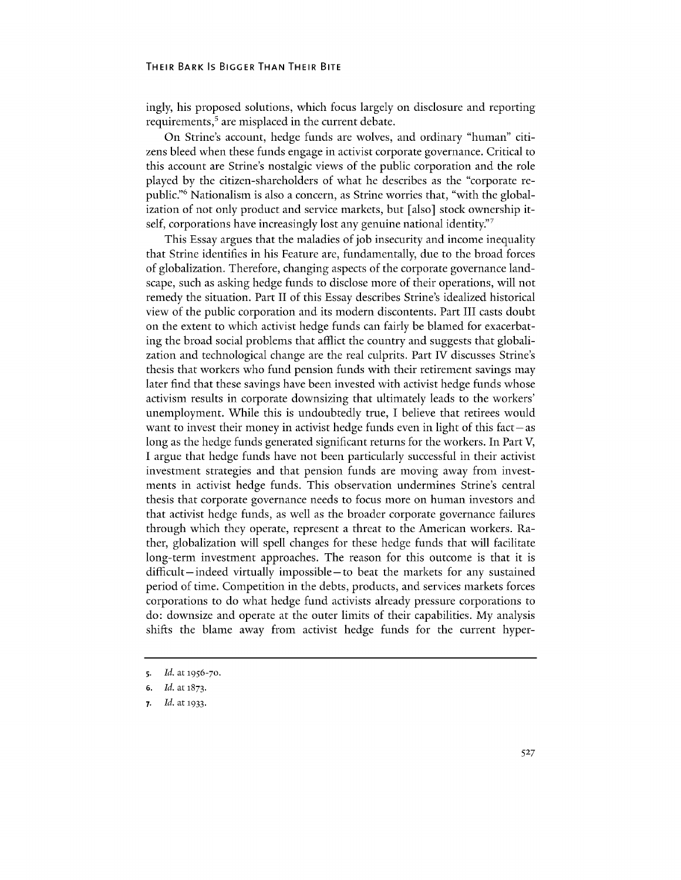#### **THEIR BARK** Is **BIGGER THAN THEIR BITE**

ingly, his proposed solutions, which focus largely on disclosure and reporting requirements, $5$  are misplaced in the current debate.

On Strine's account, hedge funds are wolves, and ordinary "human" citizens bleed when these funds engage in activist corporate governance. Critical to this account are Strine's nostalgic views of the public corporation and the role played **by** the citizen-shareholders of what he describes as the "corporate republic."<sup>6</sup> Nationalism is also a concern, as Strine worries that, "with the globalization of not only product and service markets, but [also] stock ownership itself, corporations have increasingly lost any genuine national identity."

This Essay argues that the maladies of **job** insecurity and income inequality that Strine identifies in his Feature are, fundamentally, due to the broad forces of globalization. Therefore, changing aspects of the corporate governance landscape, such as asking hedge funds to disclose more of their operations, will not remedy the situation. Part II of this Essay describes Strine's idealized historical view of the public corporation and its modern discontents. Part **III** casts doubt on the extent to which activist hedge funds can fairly be blamed for exacerbating the broad social problems that afflict the country and suggests that globalization and technological change are the real culprits. Part **IV** discusses Strine's thesis that workers who fund pension funds with their retirement savings may later find that these savings have been invested with activist hedge funds whose activism results in corporate downsizing that ultimately leads to the workers' unemployment. While this is undoubtedly true, **I** believe that retirees would want to invest their money in activist hedge funds even in light of this fact **-as** long as the hedge funds generated significant returns for the workers. In Part V, **I** argue that hedge funds have not been particularly successful in their activist investment strategies and that pension funds are moving away from investments in activist hedge funds. This observation undermines Strine's central thesis that corporate governance needs to focus more on human investors and that activist hedge funds, as well as the broader corporate governance failures through which they operate, represent a threat to the American workers. Rather, globalization will spell changes for these hedge funds that will facilitate long-term investment approaches. The reason for this outcome is that it is difficult- indeed virtually impossible-to beat the markets for any sustained period of time. Competition in the debts, products, and services markets forces corporations to do what hedge fund activists already pressure corporations to do: downsize and operate at the outer limits of their capabilities. **My** analysis shifts the blame away from activist hedge funds for the current hyper-

s. *Id.* at **1956-70.**

**<sup>6.</sup>** *Id.* at **1873.**

**<sup>7.</sup>** *Id.* at **1933.**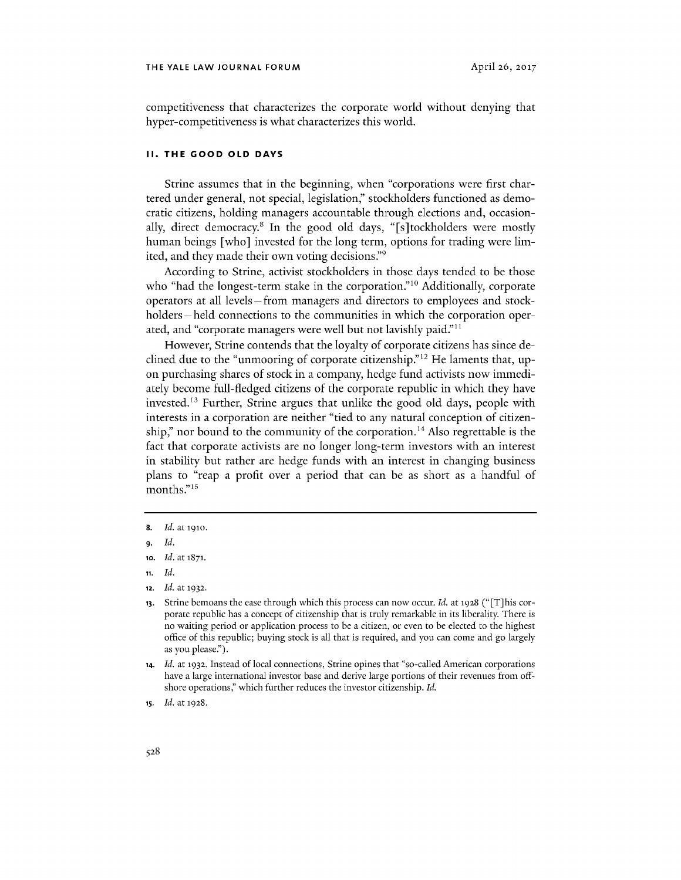competitiveness that characterizes the corporate world without denying that hyper-competitiveness is what characterizes this world.

### **II. THE GOOD OLD DAYS**

Strine assumes that in the beginning, when "corporations were first chartered under general, not special, legislation," stockholders functioned as democratic citizens, holding managers accountable through elections and, occasionally, direct democracy.<sup>8</sup> In the good old days, "[s]tockholders were mostly human beings [who] invested for the long term, options for trading were limited, and they made their own voting decisions."<sup>9</sup>

According to Strine, activist stockholders in those days tended to be those who "had the longest-term stake in the corporation."<sup>10</sup> Additionally, corporate operators at all levels-from managers and directors to employees and stockholders – held connections to the communities in which the corporation operated, and "corporate managers were well but not lavishly paid."<sup>11</sup>

However, Strine contends that the loyalty of corporate citizens has since declined due to the "unmooring of corporate citizenship."12 He laments that, upon purchasing shares of stock in a company, hedge fund activists now immediately become full-fledged citizens of the corporate republic in which they have invested.<sup>13</sup> Further, Strine argues that unlike the good old days, people with interests in a corporation are neither "tied to any natural conception of citizenship," nor bound to the community of the corporation.<sup>14</sup> Also regrettable is the fact that corporate activists are no longer long-term investors with an interest in stability but rather are hedge funds with an interest in changing business plans to "reap a profit over a period that can be as short as a handful of months."<sup>15</sup>

- **10.** *Id.* at **1871.**
- **11.** *Id.*
- **12.** *Id.* at **1932.**

**<sup>8.</sup>** *Id.* at **1910.**

**<sup>9.</sup>** *Id.*

**<sup>13.</sup>** Strine bemoans the ease through which this process can now occur. *Id.* at **1928 ("** [T] his corporate republic has a concept of citizenship that is truly remarkable in its liberality. There is no waiting period or application process to be a citizen, or even to be elected to the highest office of this republic; buying stock is all that is required, and you can come and go largely as you please.").

**<sup>14.</sup>** *Id.* at **1932.** Instead of local connections, Strine opines that "so-called American corporations have a large international investor base and derive large portions of their revenues from offshore operations,' which further reduces the investor citizenship. *Id.*

**<sup>15.</sup>** *Id.* at **1928.**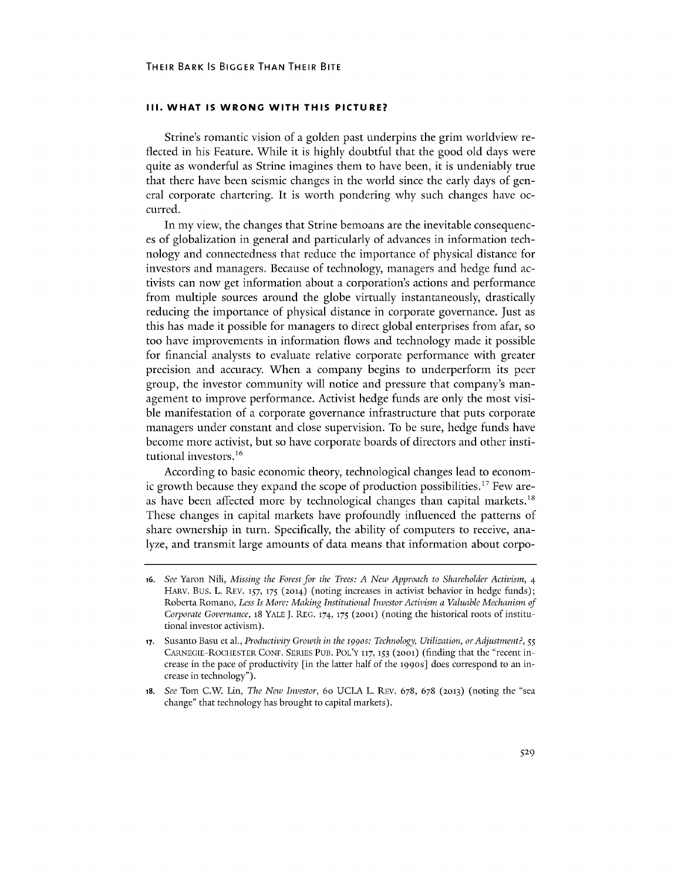#### **III. WHAT IS WRONG WITH THIS PICTURE?**

Strine's romantic vision of a golden past underpins the grim worldview reflected in his Feature. While it is **highly** doubtful that the good old days were quite as wonderful as Strine imagines them to have been, it is undeniably true that there have been seismic changes in the world since the early days of general corporate chartering. It is worth pondering why such changes have occurred.

In my view, the changes that Strine bemoans are the inevitable consequences of globalization in general and particularly of advances in information technology and connectedness that reduce the importance of physical distance for investors and managers. Because of technology, managers and hedge fund activists can now get information about a corporation's actions and performance from multiple sources around the globe virtually instantaneously, drastically reducing the importance of physical distance in corporate governance. Just as this has made it possible for managers to direct global enterprises from afar, so too have improvements in information flows and technology made it possible for financial analysts to evaluate relative corporate performance with greater precision and accuracy. When a company begins to underperform its peer group, the investor community will notice and pressure that company's management to improve performance. Activist hedge funds are only the most visible manifestation of a corporate governance infrastructure that puts corporate managers under constant and close supervision. To be sure, hedge funds have become more activist, but so have corporate boards of directors and other institutional investors.<sup>16</sup>

According to basic economic theory, technological changes lead to economic growth because they expand the scope of production possibilities." Few areas have been affected more **by** technological changes than capital markets. These changes in capital markets have profoundly influenced the patterns of share ownership in turn. Specifically, the ability of computers to receive, analyze, and transmit large amounts of data means that information about corpo-

**<sup>16.</sup>** See Yaron Nili, *Missing the Forest for the Trees: A New Approach to Shareholder Activism, 4* HARV. Bus. L. REV. **157, 175 (2014)** (noting increases in activist behavior in hedge funds); Roberta Romano, *Less Is More: Making Institutional Investor Activism a Valuable Mechanism of Corporate Governance,* 18 **YALE J. REG. 174, 175 (2001)** (noting the historical roots of institutional investor activism).

**<sup>17.</sup>** Susanto Basu et al., *Productivity Growth in the* **1990s:** *Technology, Utilization, orAdjustment?, 55* CARNEGIE-ROCHESTER **CONF. SERIES PUB.** POL'Y **117, 153 (2001)** (finding that the "recent increase in the pace of productivity [in the latter half of the 199os] does correspond to an increase in technology").

**<sup>18.</sup>** *See* Tom *C.W* Lin, *The New Investor,* 6o **UCLA** L. REV. **678, 678 (2013)** (noting the "sea change" that technology has brought to capital markets).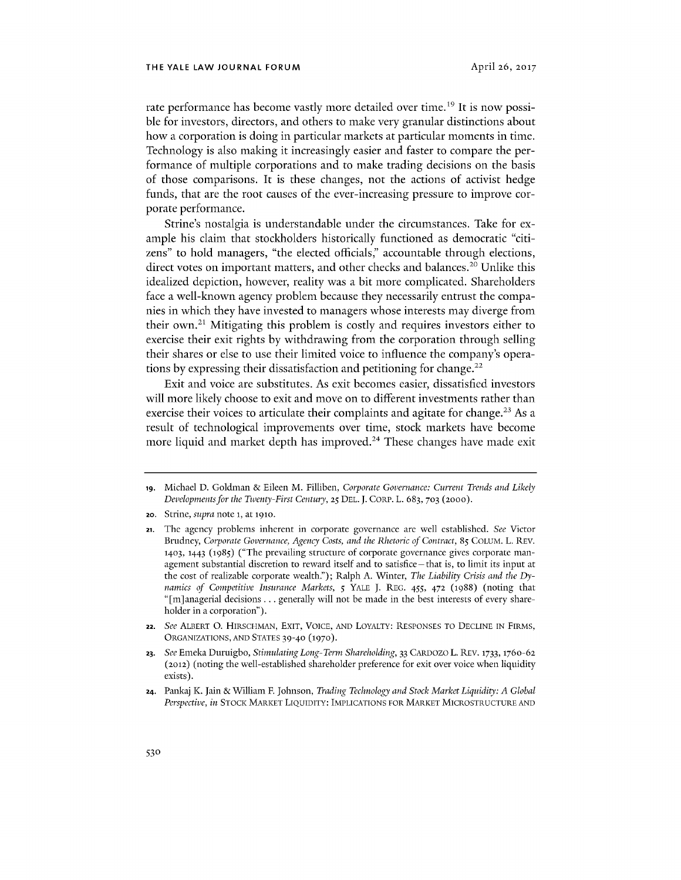rate performance has become vastly more detailed over time.<sup>19</sup> It is now possible for investors, directors, and others to make very granular distinctions about how a corporation is doing in particular markets at particular moments in time. Technology is also making it increasingly easier and faster to compare the performance of multiple corporations and to make trading decisions on the basis of those comparisons. It is these changes, not the actions of activist hedge funds, that are the root causes of the ever-increasing pressure to improve corporate performance.

Strine's nostalgia is understandable under the circumstances. Take for example his claim that stockholders historically functioned as democratic "citizens" to hold managers, "the elected officials," accountable through elections, direct votes on important matters, and other checks and balances.<sup>20</sup> Unlike this idealized depiction, however, reality was a bit more complicated. Shareholders face a well-known agency problem because they necessarily entrust the companies in which they have invested to managers whose interests may diverge from their own.<sup>21</sup> Mitigating this problem is costly and requires investors either to exercise their exit rights **by** withdrawing from the corporation through selling their shares or else to use their limited voice to influence the company's operations by expressing their dissatisfaction and petitioning for change.<sup>22</sup>

Exit and voice are substitutes. As exit becomes easier, dissatisfied investors will more likely choose to exit and move on to different investments rather than exercise their voices to articulate their complaints and agitate for change.<sup>23</sup> As a result of technological improvements over time, stock markets have become more liquid and market depth has improved.<sup>24</sup> These changes have made exit

**24.** Pankaj K. Jain **&** William F. Johnson, *Trading Technology and Stock Market Liquidity: A Global Perspective, in* STOCK MARKET LIQUIDITY: IMPLICATIONS FOR MARKET MICROSTRUCTURE **AND**

**ig.** Michael **D.** Goldman **&** Eileen M. Filliben, *Corporate Governance: Current Trends and Likely Developments for the Twenty-First Century,* **25 DEL. J.** CORP. L. **683, 703 (2000).**

**<sup>20.</sup>** Strine, *supra* note **1,** at 1910.

**<sup>21.</sup>** The agency problems inherent in corporate governance are well established. *See* Victor Brudney, *Corporate Governance, Agency Costs, and the Rhetoric of Contract,* **85** COLUM. L. REV. **1403,** 1443 *(1985)* ("The prevailing structure of corporate governance gives corporate management substantial discretion to reward itself and to satisfice **-** that is, to limit its input at the cost of realizable corporate wealth."); Ralph **A.** Winter, *The Liability Crisis and the Dynamics of Competitive Insurance Markets, 5* YALE **J.** REG. *455,* **472 (1988)** (noting that "[m]anagerial decisions **...** generally will not be made in the best interests of every shareholder in a corporation").

**<sup>22.</sup>** *See* ALBERT **0.** HIRSCHMAN, EXIT, **VOICE, AND** LOYALTY: **RESPONSES** TO **DECLINE IN** FIRMS, ORGANIZATIONS, **AND STATES** 39-40 **(1970).**

**<sup>23.</sup>** *See* Emeka Duruigbo, *Stimulating Long-Term Shareholding,* **33** CARDOZO L. REV. 1733, 1760-62 (2012) (noting the well-established shareholder preference for exit over voice when liquidity exists).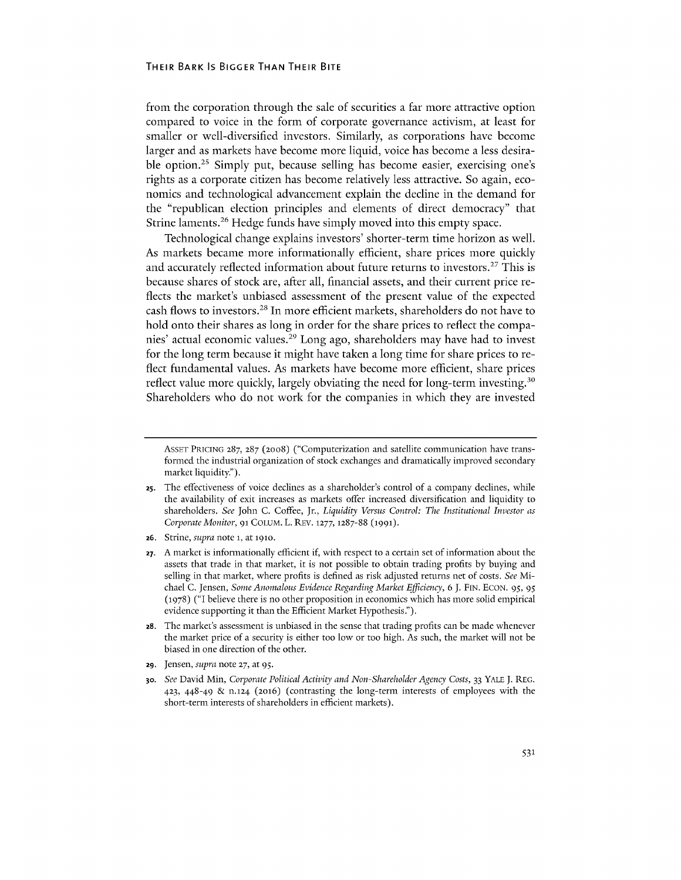#### **THEIR BARK** IS **BIGGER THAN THEIR BITE**

from the corporation through the sale of securities a far more attractive option compared to voice in the form of corporate governance activism, at least for smaller or well-diversified investors. Similarly, as corporations have become larger and as markets have become more liquid, voice has become a less desirable option.<sup>25</sup> Simply put, because selling has become easier, exercising one's rights as a corporate citizen has become relatively less attractive. So again, economics and technological advancement explain the decline in the demand for the "republican election principles and elements of direct democracy" that Strine laments.<sup>26</sup> Hedge funds have simply moved into this empty space.

Technological change explains investors' shorter-term time horizon as well. As markets became more informationally efficient, share prices more quickly and accurately reflected information about future returns to investors.<sup>27</sup> This is because shares of stock are, after all, financial assets, and their current price reflects the market's unbiased assessment of the present value of the expected cash flows to investors.<sup>28</sup> In more efficient markets, shareholders do not have to hold onto their shares as long in order for the share prices to reflect the companies' actual economic values.<sup>29</sup> Long ago, shareholders may have had to invest for the long term because it might have taken a long time for share prices to reflect fundamental values. As markets have become more efficient, share prices reflect value more quickly, largely obviating the need for long-term investing.<sup>30</sup> Shareholders who do not work for the companies in which they are invested

- **26.** Strine, *supra note* **1,** at **1910.**
- **27. A** market is informationally efficient if, with respect to a certain set of information about the assets that trade in that market, it is not possible to obtain trading profits **by** buying and selling in that market, where profits is defined as risk adjusted returns net of costs. *See* Michael **C.** Jensen, *Some Anomalous Evidence Regarding Market Efficiency, 6* **J. FIN. ECON.** *95, 95* **(1978) ("I** believe there is no other proposition in economics which has more solid empirical evidence supporting it than the Efficient Market Hypothesis.").
- **28.** The market's assessment is unbiased in the sense that trading profits can be made whenever the market price of a security is either too low or too high. As such, the market will not **be** biased in one direction of the other.
- **29.** Jensen, *supra* note **27,** at **95.**
- **30.** *See* David Min, *Corporate Political Activity and Non-Shareholder Agency Costs,* **33** YALE **J.** REG. **423,** 448-49 **& n.124** (2016) (contrasting the long-term interests of employees with the short-term interests of shareholders in efficient markets).

ASSET PRICING **287, 287 (2008)** ("Computerization and satellite communication have transformed the industrial organization of stock exchanges and dramatically improved secondary market liquidity.").

**<sup>25.</sup>** The effectiveness of voice declines as a shareholder's control of a company declines, while the availability of exit increases as markets offer increased diversification and liquidity to shareholders. *See* John **C.** Coffee, Jr., *Liquidity Versus Control: The Institutional Investor as Corporate Monitor, 91* **COLUM.** L. REV. **1277, 1287-88 (1991).**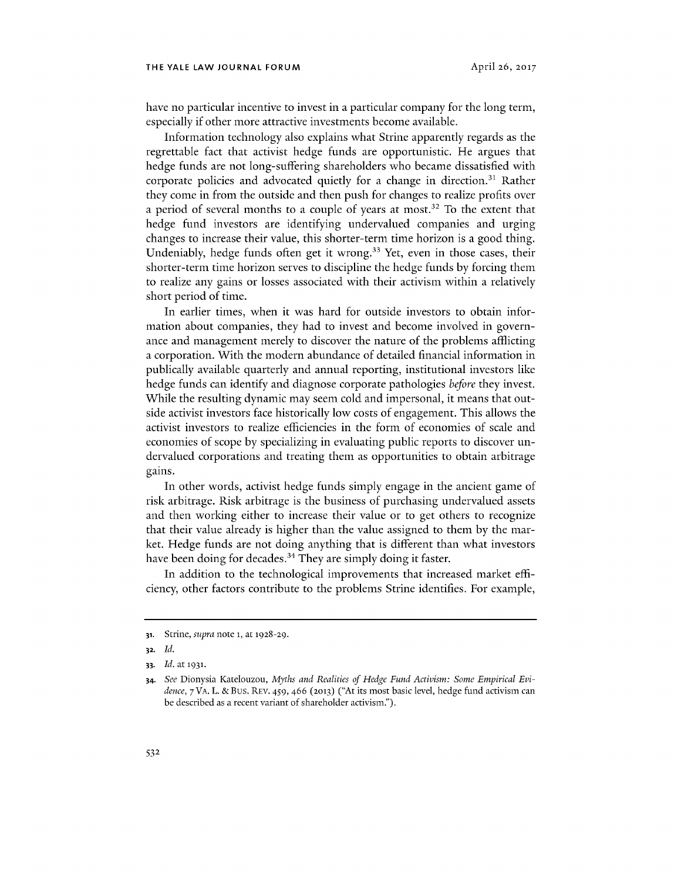have no particular incentive to invest in a particular company for the long term, especially if other more attractive investments become available.

Information technology also explains what Strine apparently regards as the regrettable fact that activist hedge funds are opportunistic. He argues that hedge funds are not long-suffering shareholders who became dissatisfied with corporate policies and advocated quietly for a change in direction.<sup>31</sup> Rather they come in from the outside and then push for changes to realize profits over a period of several months to a couple of years at most.<sup>32</sup> To the extent that hedge fund investors are identifying undervalued companies and urging changes to increase their value, this shorter-term time horizon is a good thing. Undeniably, hedge funds often get it wrong.<sup>33</sup> Yet, even in those cases, their shorter-term time horizon serves to discipline the hedge funds **by** forcing them to realize any gains or losses associated with their activism within a relatively short period of time.

In earlier times, when it was hard for outside investors to obtain information about companies, they had to invest and become involved in governance and management merely to discover the nature of the problems afflicting a corporation. With the modern abundance of detailed financial information in publically available quarterly and annual reporting, institutional investors like hedge funds can identify and diagnose corporate pathologies *before* they invest. While the resulting dynamic may seem cold and impersonal, it means that outside activist investors face historically low costs of engagement. This allows the activist investors to realize efficiencies in the form of economies of scale and economies of scope **by** specializing in evaluating public reports to discover undervalued corporations and treating them as opportunities to obtain arbitrage gains.

In other words, activist hedge funds simply engage in the ancient game of risk arbitrage. Risk arbitrage is the business of purchasing undervalued assets and then working either to increase their value or to get others to recognize that their value already is higher than the value assigned to them **by** the market. Hedge funds are not doing anything that is different than what investors have been doing for decades.<sup>34</sup> They are simply doing it faster.

In addition to the technological improvements that increased market efficiency, other factors contribute to the problems Strine identifies. For example,

**<sup>31.</sup>** Strine, *supra* note **1,** at **1928-29.**

**<sup>32.</sup>** *Id.*

**<sup>33.</sup>** *Id. at* **1931.**

**<sup>34.</sup>** *See* Dionysia Katelouzou, *Myths and Realities of Hedge Fund Activism: Some Empirical Evidence,* **7** VA. L. **&** Bus. REV. *459, 466* **(2013)** ("At its most basic level, hedge fund activism can be described as a recent variant of shareholder activism.").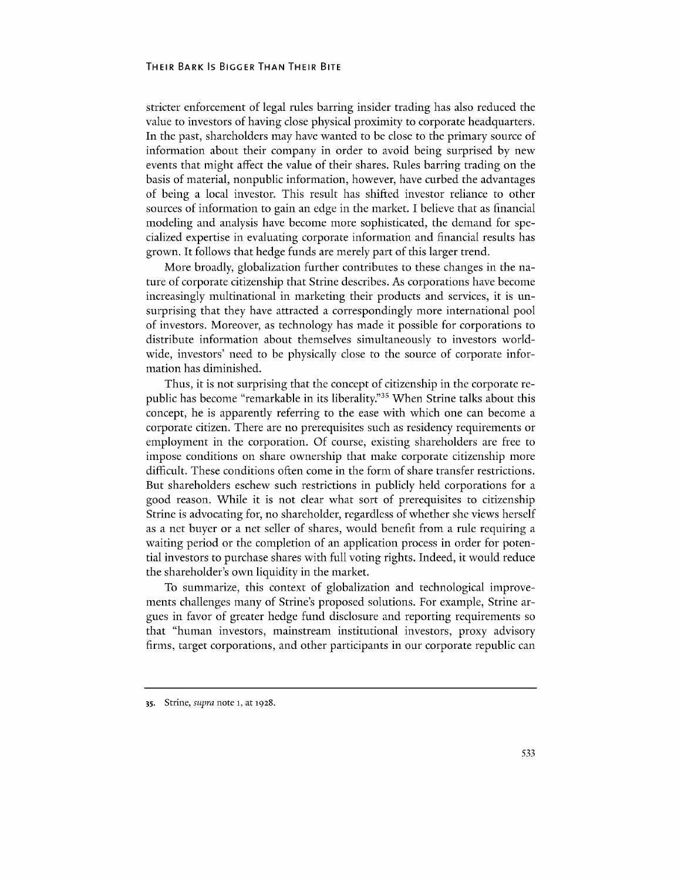#### **THEIR BARK** IS **BIGGER THAN THEIR BITE**

stricter enforcement of legal rules barring insider trading has also reduced the value to investors of having close physical proximity to corporate headquarters. In the past, shareholders may have wanted to be close to the primary source of information about their company in order to avoid being surprised **by** new events that might affect the value of their shares. Rules barring trading on the basis of material, nonpublic information, however, have curbed the advantages of being a local investor. This result has shifted investor reliance to other sources of information to gain an edge in the market. **I** believe that as financial modeling and analysis have become more sophisticated, the demand for specialized expertise in evaluating corporate information and financial results has grown. It follows that hedge funds are merely part of this larger trend.

More broadly, globalization further contributes to these changes in the nature of corporate citizenship that Strine describes. As corporations have become increasingly multinational in marketing their products and services, it is unsurprising that they have attracted a correspondingly more international pool of investors. Moreover, as technology has made it possible for corporations to distribute information about themselves simultaneously to investors worldwide, investors' need to be physically close to the source of corporate information has diminished.

Thus, it is not surprising that the concept of citizenship in the corporate republic has become "remarkable in its liberality."<sup>35</sup> When Strine talks about this concept, he is apparently referring to the ease with which one can become a corporate citizen. There are no prerequisites such as residency requirements or employment in the corporation. **Of** course, existing shareholders are free to impose conditions on share ownership that make corporate citizenship more difficult. These conditions often come in the form of share transfer restrictions. But shareholders eschew such restrictions in publicly held corporations for a good reason. While it is not clear what sort of prerequisites to citizenship Strine is advocating for, no shareholder, regardless of whether she views herself as a net buyer or a net seller of shares, would benefit from a rule requiring a waiting period or the completion of an application process in order for potential investors to purchase shares with full voting rights. Indeed, it would reduce the shareholder's own liquidity in the market.

To summarize, this context of globalization and technological improvements challenges many of Strine's proposed solutions. For example, Strine argues in favor of greater hedge fund disclosure and reporting requirements so that "human investors, mainstream institutional investors, proxy advisory firms, target corporations, and other participants in our corporate republic can

**<sup>35.</sup>** Strine, *supra note* **1,** at **1928.**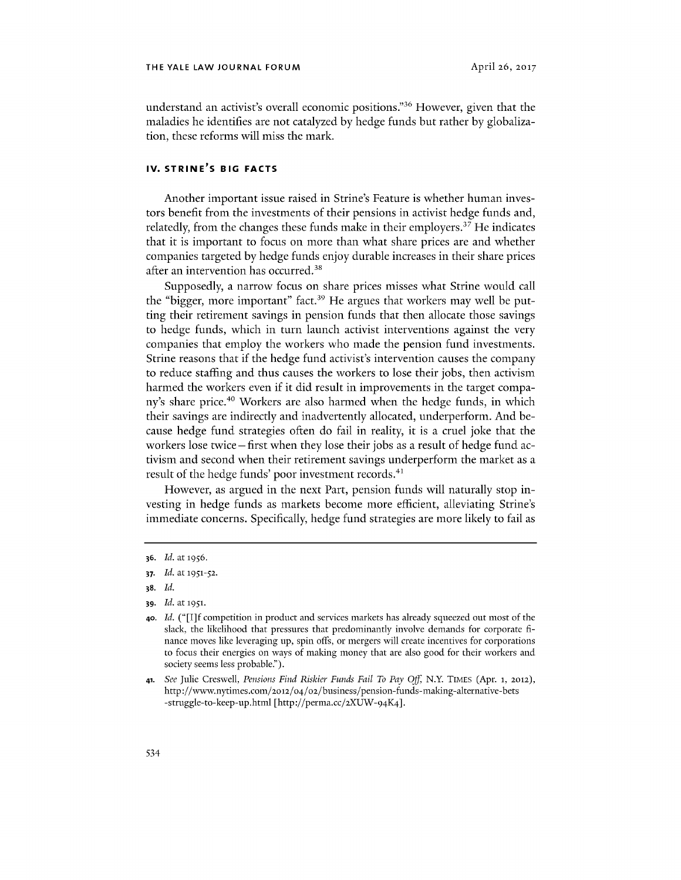understand an activist's overall economic positions."<sup>36</sup> However, given that the maladies he identifies are not catalyzed **by** hedge funds but rather **by** globalization, these reforms will miss the mark.

## **IV. STRINE'S BIG FACTS**

Another important issue raised in Strine's Feature is whether human investors benefit from the investments of their pensions in activist hedge funds and, relatedly, from the changes these funds make in their employers.<sup>37</sup> He indicates that it is important to focus on more than what share prices are and whether companies targeted **by** hedge funds enjoy durable increases in their share prices after an intervention has occurred.<sup>38</sup>

Supposedly, a narrow focus on share prices misses what Strine would call the "bigger, more important" fact.<sup>39</sup> He argues that workers may well be putting their retirement savings in pension funds that then allocate those savings to hedge funds, which in turn launch activist interventions against the very companies that employ the workers who made the pension fund investments. Strine reasons that if the hedge fund activist's intervention causes the company to reduce staffing and thus causes the workers to lose their jobs, then activism harmed the workers even if it did result in improvements in the target company's share price.<sup>40</sup> Workers are also harmed when the hedge funds, in which their savings are indirectly and inadvertently allocated, underperform. And because hedge fund strategies often do fail in reality, it is a cruel joke that the workers lose twice **-** first when they lose their jobs as a result of hedge fund activism and second when their retirement savings underperform the market as a result of the hedge funds' poor investment records.<sup>41</sup>

However, as argued in the next Part, pension funds will naturally stop investing in hedge funds as markets become more efficient, alleviating Strine's immediate concerns. Specifically, hedge fund strategies are more likely to fail as

- **38.** *Id.*
- **39.** *Id. at* **1951.**

**<sup>36.</sup>** *Id. at* **1956.**

**<sup>37.</sup>** *Id. at* **1951-52.**

**<sup>40.</sup>** *Id. ("[I]* **f** competition in product and services markets has already squeezed out most of the slack, the likelihood that pressures that predominantly involve demands for corporate **fi**nance moves like leveraging up, spin *offs,* or mergers will create incentives for corporations to focus their energies on ways of making money that are also good for their workers and society seems less probable.").

**<sup>41.</sup>** *See* Julie Creswell, *Pensions Find Riskier Funds Fail To Pay Off* **N.Y TIMES** (Apr. **1, 2012),** http://www.nytimes.coM/2o12/o4/02/business/pension-funds-making-alternative-bets -struggle-to-keep-up.html [http://perma.cc/2XUW-94K4].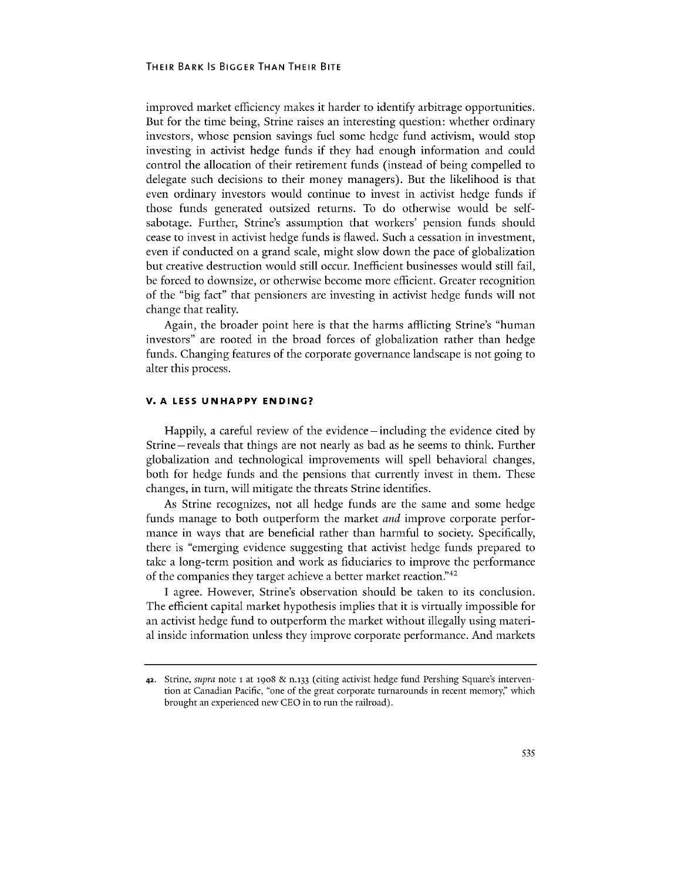#### **THEIR BARK** IS **BIGGER THAN THEIR BITE**

improved market efficiency makes it harder to identify arbitrage opportunities. But for the time being, Strine raises an interesting question: whether ordinary investors, whose pension savings fuel some hedge fund activism, would stop investing in activist hedge funds if they had enough information and could control the allocation of their retirement funds (instead of being compelled to delegate such decisions to their money managers). But the likelihood is that even ordinary investors would continue to invest in activist hedge funds if those funds generated outsized returns. To do otherwise would be selfsabotage. Further, Strine's assumption that workers' pension funds should cease to invest in activist hedge funds is flawed. Such a cessation in investment, even if conducted on a grand scale, might slow down the pace of globalization but creative destruction would still occur. Inefficient businesses would still fail, be forced to downsize, or otherwise become more efficient. Greater recognition of the "big fact" that pensioners are investing in activist hedge funds will not change that reality.

Again, the broader point here is that the harms afflicting Strine's "human investors" are rooted in the broad forces of globalization rather than hedge funds. Changing features of the corporate governance landscape is not going to alter this process.

#### **V. A LESS UNHAPPY ENDING?**

Happily, a careful review of the evidence -including the evidence cited **by** Strine-reveals that things are not nearly as bad as he seems to think. Further globalization and technological improvements will spell behavioral changes, both for hedge funds and the pensions that currently invest in them. These changes, in turn, will mitigate the threats Strine identifies.

As Strine recognizes, not all hedge funds are the same and some hedge funds manage to both outperform the market *and* improve corporate performance in ways that are beneficial rather than harmful to society. Specifically, there is "emerging evidence suggesting that activist hedge funds prepared to take a long-term position and work as fiduciaries to improve the performance of the companies they target achieve a better market reaction."<sup>42</sup>

**I** agree. However, Strine's observation should be taken to its conclusion. The efficient capital market hypothesis implies that it is virtually impossible for an activist hedge fund to outperform the market without illegally using material inside information unless they improve corporate performance. And markets

**<sup>42.</sup>** Strine, *supra* note i at **1908 & n.133** (citing activist hedge fund Pershing Square's intervention at Canadian Pacific, "one of the great corporate turnarounds in recent memory," which brought an experienced new **CEO** in to run the railroad).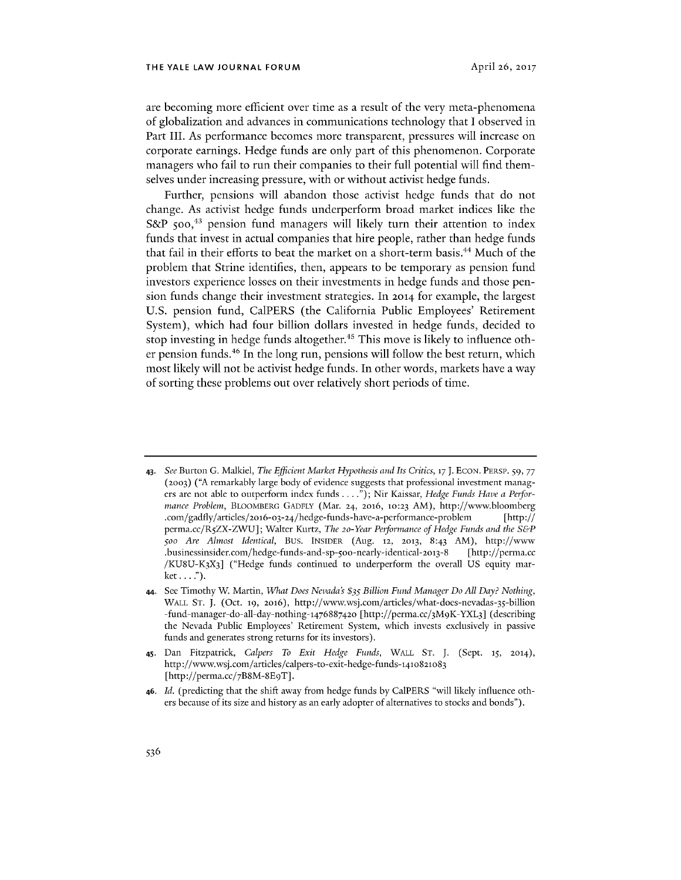are becoming more efficient over time as a result of the very meta-phenomena of globalization and advances in communications technology that I observed in Part III. As performance becomes more transparent, pressures will increase on corporate earnings. Hedge funds are only part of this phenomenon. Corporate managers who fail to run their companies to their full potential will find themselves under increasing pressure, with or without activist hedge funds.

Further, pensions will abandon those activist hedge funds that do not change. As activist hedge funds underperform broad market indices like the **S&P** *5oO,43* pension fund managers will likely turn their attention to index funds that invest in actual companies that hire people, rather than hedge funds that fail in their efforts to beat the market on a short-term basis.<sup>44</sup> Much of the problem that Strine identifies, then, appears to be temporary as pension fund investors experience losses on their investments in hedge funds and those pension funds change their investment strategies. In **2014** for example, the largest **U.S.** pension fund, CalPERS (the California Public Employees' Retirement System), which had four billion dollars invested in hedge funds, decided to stop investing in hedge funds altogether.<sup>45</sup> This move is likely to influence other pension funds.<sup>46</sup> In the long run, pensions will follow the best return, which most likely will not be activist hedge funds. In other words, markets have a way of sorting these problems out over relatively short periods of time.

**<sup>43.</sup>** *See* Burton **G.** Malkiel, *The Efficient Market Hypothesis and Its Critics, 17* **J. ECON. PERSP. 59, 77 (2003) ("A** remarkably large body of evidence suggests that professional investment managers are not able to outperform index funds **. . . .");** Nir Kaissar, *Hedge Funds Have a Performance Problem,* **BLOOMBERG GADFLY** (Mar. **24, 2016, 10:23** AM), http://www.bloomberg .com/gadfly/articles/2o16-o3-24/hedge-funds-have-a-performance-problem [http:// perma.cc/R5ZX-ZWU]; Walter Kurtz, *The 2o-Year Performance of Hedge Funds and the S&P Soo Are Almost Identical,* Bus. **INSIDER (Aug. 12, 2013,** 8:43 AM), http://www .businessinsider.com/hedge-funds-and-sp-500-nearly-identical-2013-8 [http://perma.cc **/KU8U-K3X3]** ("Hedge funds continued to underperform the overall **US** equity market.. **.. ").**

<sup>44.</sup> See Timothy W Martin, *What Does Nevada's \$35 Billion Fund Manager Do All Day? Nothing,* **WALL ST. J.** (Oct. **19, 2016),** http://www.wsj.com/articles/what-does-nevadas-35-billion -fund-manager-do-all-day-nothing-476887420 [http://perma.cc/3M9K-YXL3] (describing the Nevada Public Employees' Retirement System, which invests exclusively in passive funds and generates strong returns for its investors).

<sup>45.</sup> Dan Fitzpatrick, *Calpers To Exit Hedge Funds,* WALL **ST. J.** (Sept. **15, 2014),** http://www.wsj.com/articles/calpers-to-exit-hedge-funds-141o821o83 [http://perma.cc/7B8M-8E9T].

**<sup>46.</sup>** *Id.* (predicting that the shift away from hedge funds **by** CalPERS "will likely influence others because of its size and history as an early adopter of alternatives to stocks and bonds").